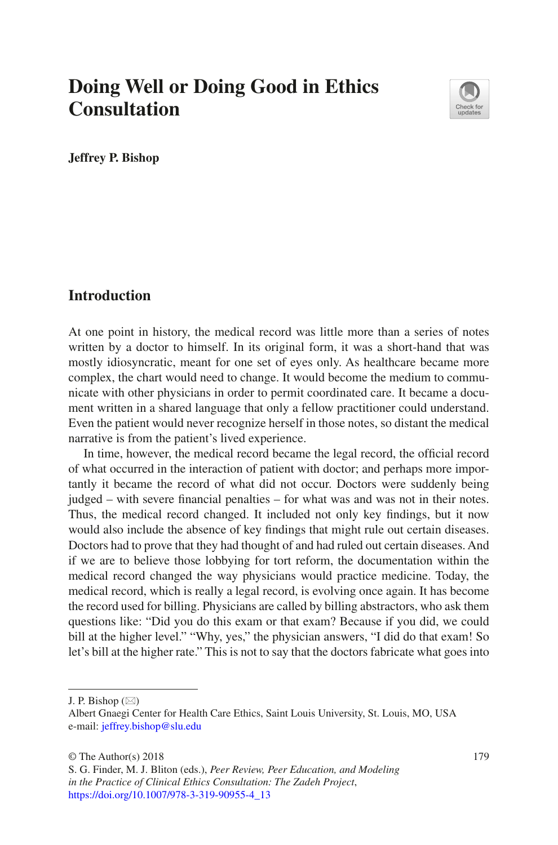# **Doing Well or Doing Good in Ethics Consultation**



**Jeffrey P. Bishop**

### **Introduction**

At one point in history, the medical record was little more than a series of notes written by a doctor to himself. In its original form, it was a short-hand that was mostly idiosyncratic, meant for one set of eyes only. As healthcare became more complex, the chart would need to change. It would become the medium to communicate with other physicians in order to permit coordinated care. It became a document written in a shared language that only a fellow practitioner could understand. Even the patient would never recognize herself in those notes, so distant the medical narrative is from the patient's lived experience.

In time, however, the medical record became the legal record, the official record of what occurred in the interaction of patient with doctor; and perhaps more importantly it became the record of what did not occur. Doctors were suddenly being judged – with severe financial penalties – for what was and was not in their notes. Thus, the medical record changed. It included not only key findings, but it now would also include the absence of key findings that might rule out certain diseases. Doctors had to prove that they had thought of and had ruled out certain diseases. And if we are to believe those lobbying for tort reform, the documentation within the medical record changed the way physicians would practice medicine. Today, the medical record, which is really a legal record, is evolving once again. It has become the record used for billing. Physicians are called by billing abstractors, who ask them questions like: "Did you do this exam or that exam? Because if you did, we could bill at the higher level." "Why, yes," the physician answers, "I did do that exam! So let's bill at the higher rate." This is not to say that the doctors fabricate what goes into

J. P. Bishop  $(\boxtimes)$ 

Albert Gnaegi Center for Health Care Ethics, Saint Louis University, St. Louis, MO, USA e-mail: [jeffrey.bishop@slu.edu](mailto:jeffrey.bishop@slu.edu)

 $\odot$  The Author(s) 2018 179

S. G. Finder, M. J. Bliton (eds.), *Peer Review, Peer Education, and Modeling in the Practice of Clinical Ethics Consultation: The Zadeh Project*, [https://doi.org/10.1007/978-3-319-90955-4\\_13](https://doi.org/10.1007/978-3-319-90955-4_13)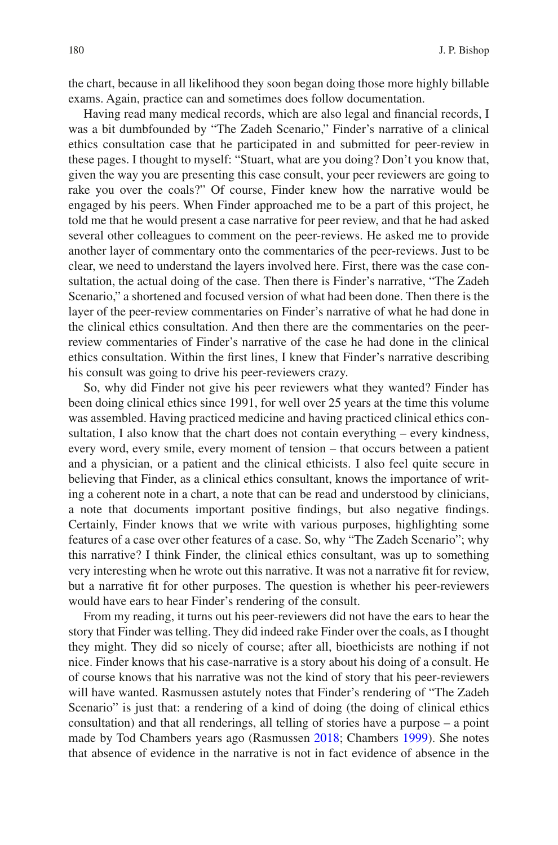the chart, because in all likelihood they soon began doing those more highly billable exams. Again, practice can and sometimes does follow documentation.

Having read many medical records, which are also legal and financial records, I was a bit dumbfounded by "The Zadeh Scenario," Finder's narrative of a clinical ethics consultation case that he participated in and submitted for peer-review in these pages. I thought to myself: "Stuart, what are you doing? Don't you know that, given the way you are presenting this case consult, your peer reviewers are going to rake you over the coals?" Of course, Finder knew how the narrative would be engaged by his peers. When Finder approached me to be a part of this project, he told me that he would present a case narrative for peer review, and that he had asked several other colleagues to comment on the peer-reviews. He asked me to provide another layer of commentary onto the commentaries of the peer-reviews. Just to be clear, we need to understand the layers involved here. First, there was the case consultation, the actual doing of the case. Then there is Finder's narrative, "The Zadeh Scenario," a shortened and focused version of what had been done. Then there is the layer of the peer-review commentaries on Finder's narrative of what he had done in the clinical ethics consultation. And then there are the commentaries on the peerreview commentaries of Finder's narrative of the case he had done in the clinical ethics consultation. Within the first lines, I knew that Finder's narrative describing his consult was going to drive his peer-reviewers crazy.

So, why did Finder not give his peer reviewers what they wanted? Finder has been doing clinical ethics since 1991, for well over 25 years at the time this volume was assembled. Having practiced medicine and having practiced clinical ethics consultation, I also know that the chart does not contain everything – every kindness, every word, every smile, every moment of tension – that occurs between a patient and a physician, or a patient and the clinical ethicists. I also feel quite secure in believing that Finder, as a clinical ethics consultant, knows the importance of writing a coherent note in a chart, a note that can be read and understood by clinicians, a note that documents important positive findings, but also negative findings. Certainly, Finder knows that we write with various purposes, highlighting some features of a case over other features of a case. So, why "The Zadeh Scenario"; why this narrative? I think Finder, the clinical ethics consultant, was up to something very interesting when he wrote out this narrative. It was not a narrative fit for review, but a narrative fit for other purposes. The question is whether his peer-reviewers would have ears to hear Finder's rendering of the consult.

From my reading, it turns out his peer-reviewers did not have the ears to hear the story that Finder was telling. They did indeed rake Finder over the coals, as I thought they might. They did so nicely of course; after all, bioethicists are nothing if not nice. Finder knows that his case-narrative is a story about his doing of a consult. He of course knows that his narrative was not the kind of story that his peer-reviewers will have wanted. Rasmussen astutely notes that Finder's rendering of "The Zadeh Scenario" is just that: a rendering of a kind of doing (the doing of clinical ethics consultation) and that all renderings, all telling of stories have a purpose – a point made by Tod Chambers years ago (Rasmussen [2018](#page-13-0); Chambers [1999](#page-12-0)). She notes that absence of evidence in the narrative is not in fact evidence of absence in the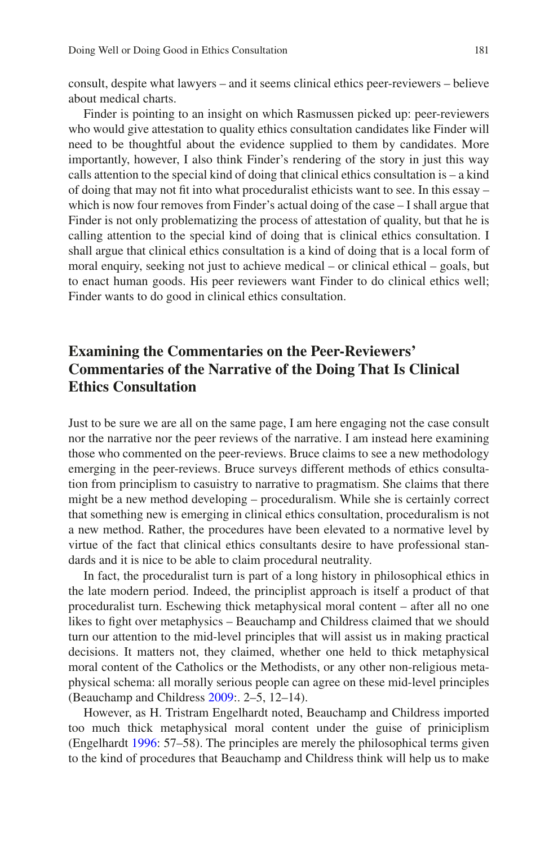consult, despite what lawyers – and it seems clinical ethics peer-reviewers – believe about medical charts.

Finder is pointing to an insight on which Rasmussen picked up: peer-reviewers who would give attestation to quality ethics consultation candidates like Finder will need to be thoughtful about the evidence supplied to them by candidates. More importantly, however, I also think Finder's rendering of the story in just this way calls attention to the special kind of doing that clinical ethics consultation is  $-$  a kind of doing that may not fit into what proceduralist ethicists want to see. In this essay – which is now four removes from Finder's actual doing of the case – I shall argue that Finder is not only problematizing the process of attestation of quality, but that he is calling attention to the special kind of doing that is clinical ethics consultation. I shall argue that clinical ethics consultation is a kind of doing that is a local form of moral enquiry, seeking not just to achieve medical – or clinical ethical – goals, but to enact human goods. His peer reviewers want Finder to do clinical ethics well; Finder wants to do good in clinical ethics consultation.

# **Examining the Commentaries on the Peer-Reviewers' Commentaries of the Narrative of the Doing That Is Clinical Ethics Consultation**

Just to be sure we are all on the same page, I am here engaging not the case consult nor the narrative nor the peer reviews of the narrative. I am instead here examining those who commented on the peer-reviews. Bruce claims to see a new methodology emerging in the peer-reviews. Bruce surveys different methods of ethics consultation from principlism to casuistry to narrative to pragmatism. She claims that there might be a new method developing – proceduralism. While she is certainly correct that something new is emerging in clinical ethics consultation, proceduralism is not a new method. Rather, the procedures have been elevated to a normative level by virtue of the fact that clinical ethics consultants desire to have professional standards and it is nice to be able to claim procedural neutrality.

In fact, the proceduralist turn is part of a long history in philosophical ethics in the late modern period. Indeed, the principlist approach is itself a product of that proceduralist turn. Eschewing thick metaphysical moral content – after all no one likes to fight over metaphysics – Beauchamp and Childress claimed that we should turn our attention to the mid-level principles that will assist us in making practical decisions. It matters not, they claimed, whether one held to thick metaphysical moral content of the Catholics or the Methodists, or any other non-religious metaphysical schema: all morally serious people can agree on these mid-level principles (Beauchamp and Childress [2009](#page-12-1):. 2–5, 12–14).

However, as H. Tristram Engelhardt noted, Beauchamp and Childress imported too much thick metaphysical moral content under the guise of priniciplism (Engelhardt [1996:](#page-13-1) 57–58). The principles are merely the philosophical terms given to the kind of procedures that Beauchamp and Childress think will help us to make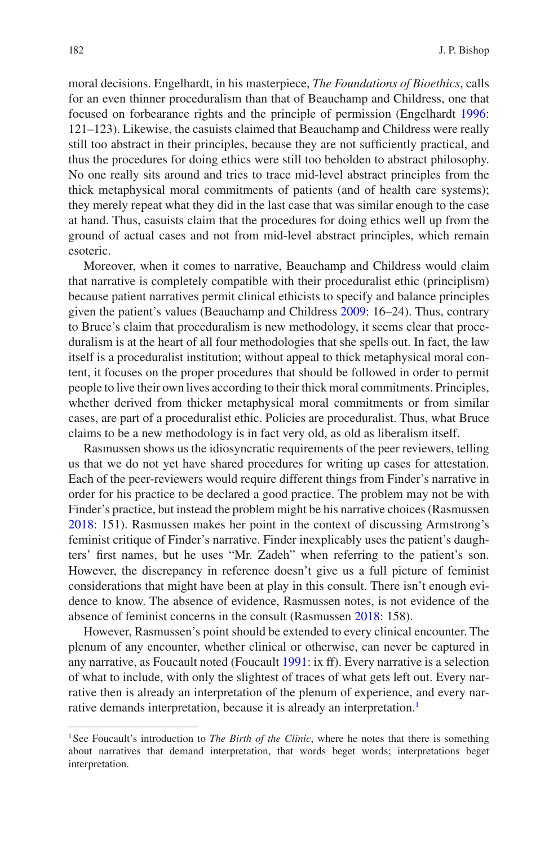moral decisions. Engelhardt, in his masterpiece, *The Foundations of Bioethics*, calls for an even thinner proceduralism than that of Beauchamp and Childress, one that focused on forbearance rights and the principle of permission (Engelhardt [1996:](#page-13-1) 121–123). Likewise, the casuists claimed that Beauchamp and Childress were really still too abstract in their principles, because they are not sufficiently practical, and thus the procedures for doing ethics were still too beholden to abstract philosophy. No one really sits around and tries to trace mid-level abstract principles from the thick metaphysical moral commitments of patients (and of health care systems); they merely repeat what they did in the last case that was similar enough to the case at hand. Thus, casuists claim that the procedures for doing ethics well up from the ground of actual cases and not from mid-level abstract principles, which remain esoteric.

Moreover, when it comes to narrative, Beauchamp and Childress would claim that narrative is completely compatible with their proceduralist ethic (principlism) because patient narratives permit clinical ethicists to specify and balance principles given the patient's values (Beauchamp and Childress [2009](#page-12-1): 16–24). Thus, contrary to Bruce's claim that proceduralism is new methodology, it seems clear that proceduralism is at the heart of all four methodologies that she spells out. In fact, the law itself is a proceduralist institution; without appeal to thick metaphysical moral content, it focuses on the proper procedures that should be followed in order to permit people to live their own lives according to their thick moral commitments. Principles, whether derived from thicker metaphysical moral commitments or from similar cases, are part of a proceduralist ethic. Policies are proceduralist. Thus, what Bruce claims to be a new methodology is in fact very old, as old as liberalism itself.

Rasmussen shows us the idiosyncratic requirements of the peer reviewers, telling us that we do not yet have shared procedures for writing up cases for attestation. Each of the peer-reviewers would require different things from Finder's narrative in order for his practice to be declared a good practice. The problem may not be with Finder's practice, but instead the problem might be his narrative choices (Rasmussen [2018:](#page-13-0) 151). Rasmussen makes her point in the context of discussing Armstrong's feminist critique of Finder's narrative. Finder inexplicably uses the patient's daughters' first names, but he uses "Mr. Zadeh" when referring to the patient's son. However, the discrepancy in reference doesn't give us a full picture of feminist considerations that might have been at play in this consult. There isn't enough evidence to know. The absence of evidence, Rasmussen notes, is not evidence of the absence of feminist concerns in the consult (Rasmussen [2018](#page-13-0): 158).

However, Rasmussen's point should be extended to every clinical encounter. The plenum of any encounter, whether clinical or otherwise, can never be captured in any narrative, as Foucault noted (Foucault [1991](#page-13-2): ix ff). Every narrative is a selection of what to include, with only the slightest of traces of what gets left out. Every narrative then is already an interpretation of the plenum of experience, and every narrative demands interpretation, because it is already an interpretation[.1](#page-3-0)

<span id="page-3-0"></span><sup>&</sup>lt;sup>1</sup>See Foucault's introduction to *The Birth of the Clinic*, where he notes that there is something about narratives that demand interpretation, that words beget words; interpretations beget interpretation.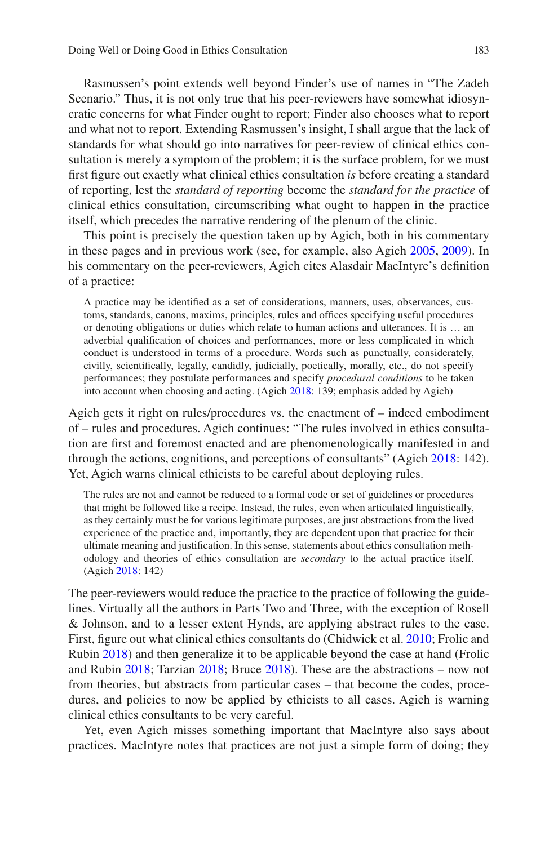Rasmussen's point extends well beyond Finder's use of names in "The Zadeh Scenario." Thus, it is not only true that his peer-reviewers have somewhat idiosyncratic concerns for what Finder ought to report; Finder also chooses what to report and what not to report. Extending Rasmussen's insight, I shall argue that the lack of standards for what should go into narratives for peer-review of clinical ethics consultation is merely a symptom of the problem; it is the surface problem, for we must first figure out exactly what clinical ethics consultation *is* before creating a standard of reporting, lest the *standard of reporting* become the *standard for the practice* of clinical ethics consultation, circumscribing what ought to happen in the practice itself, which precedes the narrative rendering of the plenum of the clinic.

This point is precisely the question taken up by Agich, both in his commentary in these pages and in previous work (see, for example, also Agich [2005](#page-12-2), [2009](#page-12-3)). In his commentary on the peer-reviewers, Agich cites Alasdair MacIntyre's definition of a practice:

A practice may be identified as a set of considerations, manners, uses, observances, customs, standards, canons, maxims, principles, rules and offices specifying useful procedures or denoting obligations or duties which relate to human actions and utterances. It is … an adverbial qualification of choices and performances, more or less complicated in which conduct is understood in terms of a procedure. Words such as punctually, considerately, civilly, scientifically, legally, candidly, judicially, poetically, morally, etc., do not specify performances; they postulate performances and specify *procedural conditions* to be taken into account when choosing and acting. (Agich [2018](#page-12-4): 139; emphasis added by Agich)

Agich gets it right on rules/procedures vs. the enactment of – indeed embodiment of – rules and procedures. Agich continues: "The rules involved in ethics consultation are first and foremost enacted and are phenomenologically manifested in and through the actions, cognitions, and perceptions of consultants" (Agich [2018:](#page-12-4) 142). Yet, Agich warns clinical ethicists to be careful about deploying rules.

The rules are not and cannot be reduced to a formal code or set of guidelines or procedures that might be followed like a recipe. Instead, the rules, even when articulated linguistically, as they certainly must be for various legitimate purposes, are just abstractions from the lived experience of the practice and, importantly, they are dependent upon that practice for their ultimate meaning and justification. In this sense, statements about ethics consultation methodology and theories of ethics consultation are *secondary* to the actual practice itself. (Agich [2018:](#page-12-4) 142)

The peer-reviewers would reduce the practice to the practice of following the guidelines. Virtually all the authors in Parts Two and Three, with the exception of Rosell & Johnson, and to a lesser extent Hynds, are applying abstract rules to the case. First, figure out what clinical ethics consultants do (Chidwick et al. [2010](#page-12-5); Frolic and Rubin [2018\)](#page-13-3) and then generalize it to be applicable beyond the case at hand (Frolic and Rubin [2018](#page-13-3); Tarzian [2018;](#page-13-4) Bruce [2018\)](#page-12-6). These are the abstractions – now not from theories, but abstracts from particular cases – that become the codes, procedures, and policies to now be applied by ethicists to all cases. Agich is warning clinical ethics consultants to be very careful.

Yet, even Agich misses something important that MacIntyre also says about practices. MacIntyre notes that practices are not just a simple form of doing; they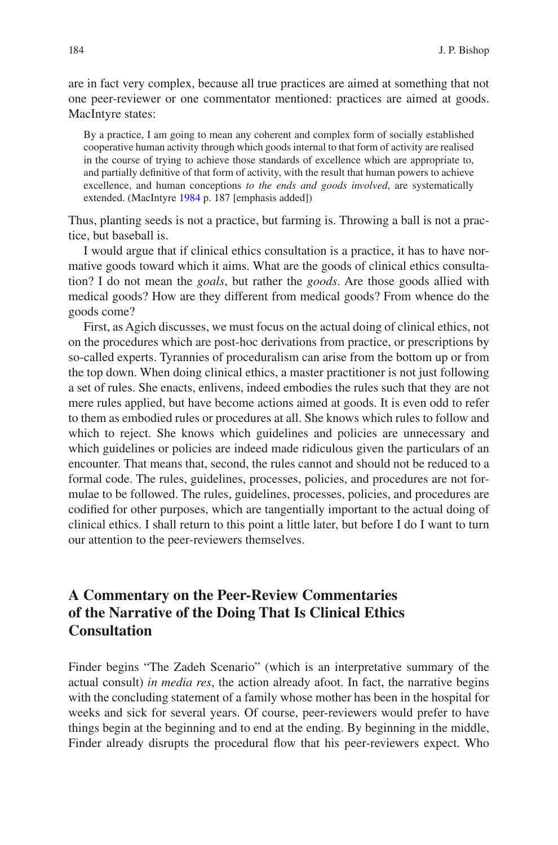are in fact very complex, because all true practices are aimed at something that not one peer-reviewer or one commentator mentioned: practices are aimed at goods. MacIntyre states:

By a practice, I am going to mean any coherent and complex form of socially established cooperative human activity through which goods internal to that form of activity are realised in the course of trying to achieve those standards of excellence which are appropriate to, and partially definitive of that form of activity, with the result that human powers to achieve excellence, and human conceptions *to the ends and goods involved*, are systematically extended. (MacIntyre [1984](#page-13-5) p. 187 [emphasis added])

Thus, planting seeds is not a practice, but farming is. Throwing a ball is not a practice, but baseball is.

I would argue that if clinical ethics consultation is a practice, it has to have normative goods toward which it aims. What are the goods of clinical ethics consultation? I do not mean the *goals*, but rather the *goods*. Are those goods allied with medical goods? How are they different from medical goods? From whence do the goods come?

First, as Agich discusses, we must focus on the actual doing of clinical ethics, not on the procedures which are post-hoc derivations from practice, or prescriptions by so-called experts. Tyrannies of proceduralism can arise from the bottom up or from the top down. When doing clinical ethics, a master practitioner is not just following a set of rules. She enacts, enlivens, indeed embodies the rules such that they are not mere rules applied, but have become actions aimed at goods. It is even odd to refer to them as embodied rules or procedures at all. She knows which rules to follow and which to reject. She knows which guidelines and policies are unnecessary and which guidelines or policies are indeed made ridiculous given the particulars of an encounter. That means that, second, the rules cannot and should not be reduced to a formal code. The rules, guidelines, processes, policies, and procedures are not formulae to be followed. The rules, guidelines, processes, policies, and procedures are codified for other purposes, which are tangentially important to the actual doing of clinical ethics. I shall return to this point a little later, but before I do I want to turn our attention to the peer-reviewers themselves.

# **A Commentary on the Peer-Review Commentaries of the Narrative of the Doing That Is Clinical Ethics Consultation**

Finder begins "The Zadeh Scenario" (which is an interpretative summary of the actual consult) *in media res*, the action already afoot. In fact, the narrative begins with the concluding statement of a family whose mother has been in the hospital for weeks and sick for several years. Of course, peer-reviewers would prefer to have things begin at the beginning and to end at the ending. By beginning in the middle, Finder already disrupts the procedural flow that his peer-reviewers expect. Who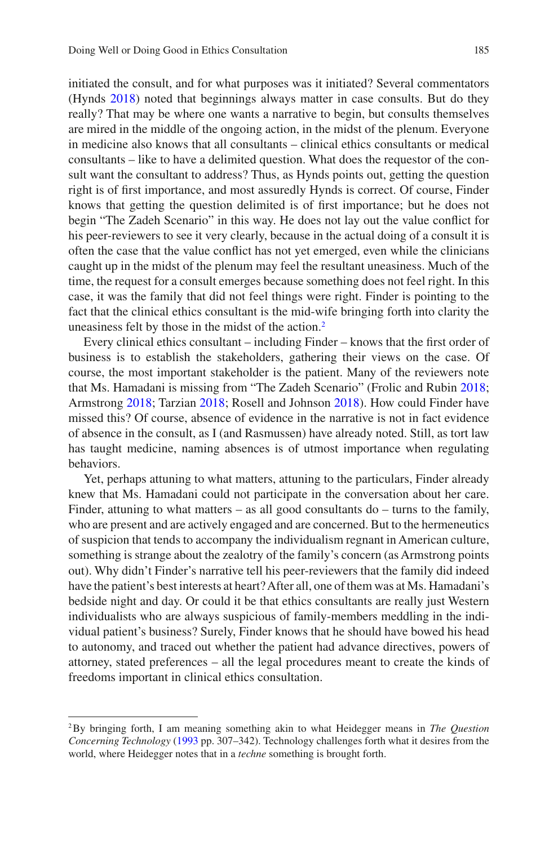initiated the consult, and for what purposes was it initiated? Several commentators (Hynds [2018\)](#page-13-6) noted that beginnings always matter in case consults. But do they really? That may be where one wants a narrative to begin, but consults themselves are mired in the middle of the ongoing action, in the midst of the plenum. Everyone in medicine also knows that all consultants – clinical ethics consultants or medical consultants – like to have a delimited question. What does the requestor of the consult want the consultant to address? Thus, as Hynds points out, getting the question right is of first importance, and most assuredly Hynds is correct. Of course, Finder knows that getting the question delimited is of first importance; but he does not begin "The Zadeh Scenario" in this way. He does not lay out the value conflict for his peer-reviewers to see it very clearly, because in the actual doing of a consult it is often the case that the value conflict has not yet emerged, even while the clinicians caught up in the midst of the plenum may feel the resultant uneasiness. Much of the time, the request for a consult emerges because something does not feel right. In this case, it was the family that did not feel things were right. Finder is pointing to the fact that the clinical ethics consultant is the mid-wife bringing forth into clarity the uneasiness felt by those in the midst of the action[.2](#page-6-0)

Every clinical ethics consultant – including Finder – knows that the first order of business is to establish the stakeholders, gathering their views on the case. Of course, the most important stakeholder is the patient. Many of the reviewers note that Ms. Hamadani is missing from "The Zadeh Scenario" (Frolic and Rubin [2018;](#page-13-3) Armstrong [2018;](#page-12-7) Tarzian [2018](#page-13-4); Rosell and Johnson [2018](#page-13-7)). How could Finder have missed this? Of course, absence of evidence in the narrative is not in fact evidence of absence in the consult, as I (and Rasmussen) have already noted. Still, as tort law has taught medicine, naming absences is of utmost importance when regulating behaviors.

Yet, perhaps attuning to what matters, attuning to the particulars, Finder already knew that Ms. Hamadani could not participate in the conversation about her care. Finder, attuning to what matters  $-$  as all good consultants do  $-$  turns to the family, who are present and are actively engaged and are concerned. But to the hermeneutics of suspicion that tends to accompany the individualism regnant in American culture, something is strange about the zealotry of the family's concern (as Armstrong points out). Why didn't Finder's narrative tell his peer-reviewers that the family did indeed have the patient's best interests at heart? After all, one of them was at Ms. Hamadani's bedside night and day. Or could it be that ethics consultants are really just Western individualists who are always suspicious of family-members meddling in the individual patient's business? Surely, Finder knows that he should have bowed his head to autonomy, and traced out whether the patient had advance directives, powers of attorney, stated preferences – all the legal procedures meant to create the kinds of freedoms important in clinical ethics consultation.

<span id="page-6-0"></span><sup>2</sup>By bringing forth, I am meaning something akin to what Heidegger means in *The Question Concerning Technology* [\(1993](#page-13-8) pp. 307–342). Technology challenges forth what it desires from the world, where Heidegger notes that in a *techne* something is brought forth.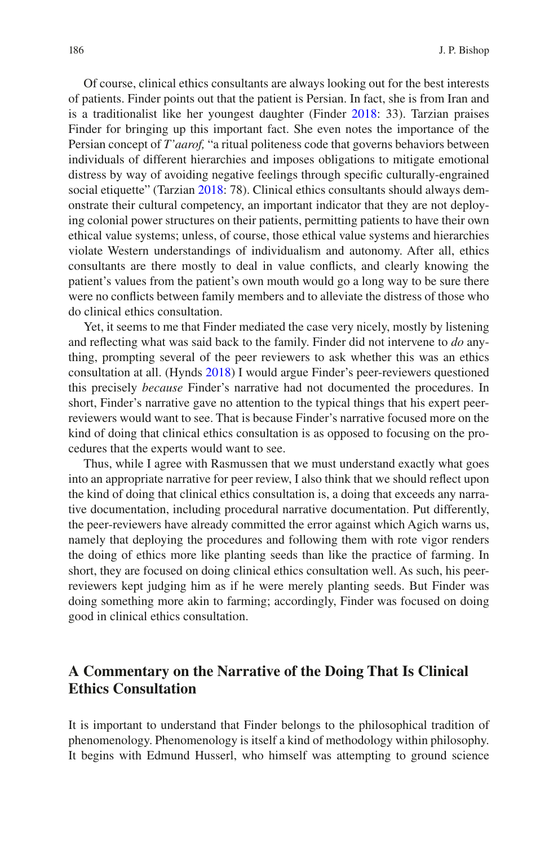Of course, clinical ethics consultants are always looking out for the best interests of patients. Finder points out that the patient is Persian. In fact, she is from Iran and is a traditionalist like her youngest daughter (Finder [2018](#page-13-9): 33). Tarzian praises Finder for bringing up this important fact. She even notes the importance of the Persian concept of *T'aarof,* "a ritual politeness code that governs behaviors between individuals of different hierarchies and imposes obligations to mitigate emotional distress by way of avoiding negative feelings through specific culturally-engrained social etiquette" (Tarzian [2018](#page-13-4): 78). Clinical ethics consultants should always demonstrate their cultural competency, an important indicator that they are not deploying colonial power structures on their patients, permitting patients to have their own ethical value systems; unless, of course, those ethical value systems and hierarchies violate Western understandings of individualism and autonomy. After all, ethics consultants are there mostly to deal in value conflicts, and clearly knowing the patient's values from the patient's own mouth would go a long way to be sure there were no conflicts between family members and to alleviate the distress of those who do clinical ethics consultation.

Yet, it seems to me that Finder mediated the case very nicely, mostly by listening and reflecting what was said back to the family. Finder did not intervene to *do* anything, prompting several of the peer reviewers to ask whether this was an ethics consultation at all. (Hynds [2018\)](#page-13-6) I would argue Finder's peer-reviewers questioned this precisely *because* Finder's narrative had not documented the procedures. In short, Finder's narrative gave no attention to the typical things that his expert peerreviewers would want to see. That is because Finder's narrative focused more on the kind of doing that clinical ethics consultation is as opposed to focusing on the procedures that the experts would want to see.

Thus, while I agree with Rasmussen that we must understand exactly what goes into an appropriate narrative for peer review, I also think that we should reflect upon the kind of doing that clinical ethics consultation is, a doing that exceeds any narrative documentation, including procedural narrative documentation. Put differently, the peer-reviewers have already committed the error against which Agich warns us, namely that deploying the procedures and following them with rote vigor renders the doing of ethics more like planting seeds than like the practice of farming. In short, they are focused on doing clinical ethics consultation well. As such, his peerreviewers kept judging him as if he were merely planting seeds. But Finder was doing something more akin to farming; accordingly, Finder was focused on doing good in clinical ethics consultation.

## **A Commentary on the Narrative of the Doing That Is Clinical Ethics Consultation**

It is important to understand that Finder belongs to the philosophical tradition of phenomenology. Phenomenology is itself a kind of methodology within philosophy. It begins with Edmund Husserl, who himself was attempting to ground science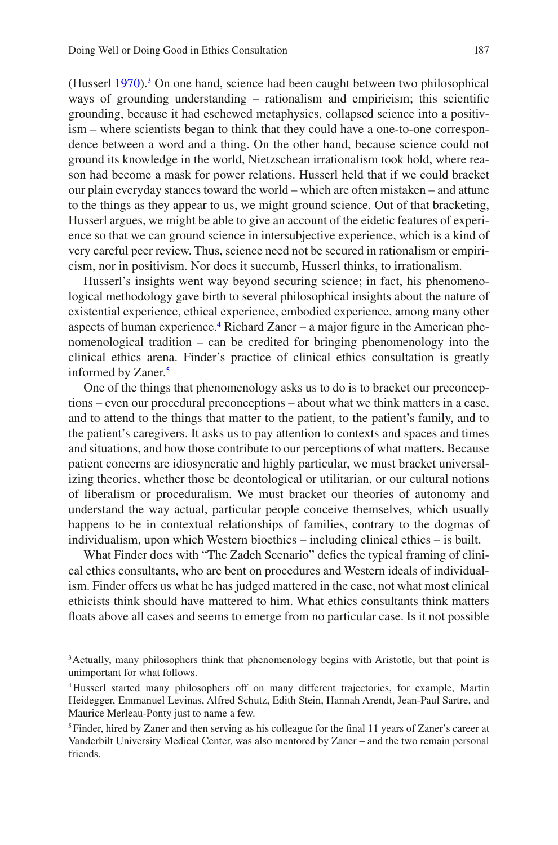(Husserl [1970](#page-13-10)).<sup>3</sup> On one hand, science had been caught between two philosophical ways of grounding understanding – rationalism and empiricism; this scientific grounding, because it had eschewed metaphysics, collapsed science into a positivism – where scientists began to think that they could have a one-to-one correspondence between a word and a thing. On the other hand, because science could not ground its knowledge in the world, Nietzschean irrationalism took hold, where reason had become a mask for power relations. Husserl held that if we could bracket our plain everyday stances toward the world – which are often mistaken – and attune to the things as they appear to us, we might ground science. Out of that bracketing, Husserl argues, we might be able to give an account of the eidetic features of experience so that we can ground science in intersubjective experience, which is a kind of very careful peer review. Thus, science need not be secured in rationalism or empiricism, nor in positivism. Nor does it succumb, Husserl thinks, to irrationalism.

Husserl's insights went way beyond securing science; in fact, his phenomenological methodology gave birth to several philosophical insights about the nature of existential experience, ethical experience, embodied experience, among many other aspects of human experience.<sup>4</sup> Richard Zaner – a major figure in the American phenomenological tradition – can be credited for bringing phenomenology into the clinical ethics arena. Finder's practice of clinical ethics consultation is greatly informed by Zaner.<sup>[5](#page-8-2)</sup>

One of the things that phenomenology asks us to do is to bracket our preconceptions – even our procedural preconceptions – about what we think matters in a case, and to attend to the things that matter to the patient, to the patient's family, and to the patient's caregivers. It asks us to pay attention to contexts and spaces and times and situations, and how those contribute to our perceptions of what matters. Because patient concerns are idiosyncratic and highly particular, we must bracket universalizing theories, whether those be deontological or utilitarian, or our cultural notions of liberalism or proceduralism. We must bracket our theories of autonomy and understand the way actual, particular people conceive themselves, which usually happens to be in contextual relationships of families, contrary to the dogmas of individualism, upon which Western bioethics – including clinical ethics – is built.

What Finder does with "The Zadeh Scenario" defies the typical framing of clinical ethics consultants, who are bent on procedures and Western ideals of individualism. Finder offers us what he has judged mattered in the case, not what most clinical ethicists think should have mattered to him. What ethics consultants think matters floats above all cases and seems to emerge from no particular case. Is it not possible

<span id="page-8-0"></span><sup>&</sup>lt;sup>3</sup>Actually, many philosophers think that phenomenology begins with Aristotle, but that point is unimportant for what follows.

<span id="page-8-1"></span><sup>4</sup>Husserl started many philosophers off on many different trajectories, for example, Martin Heidegger, Emmanuel Levinas, Alfred Schutz, Edith Stein, Hannah Arendt, Jean-Paul Sartre, and Maurice Merleau-Ponty just to name a few.

<span id="page-8-2"></span><sup>5</sup>Finder, hired by Zaner and then serving as his colleague for the final 11 years of Zaner's career at Vanderbilt University Medical Center, was also mentored by Zaner – and the two remain personal friends.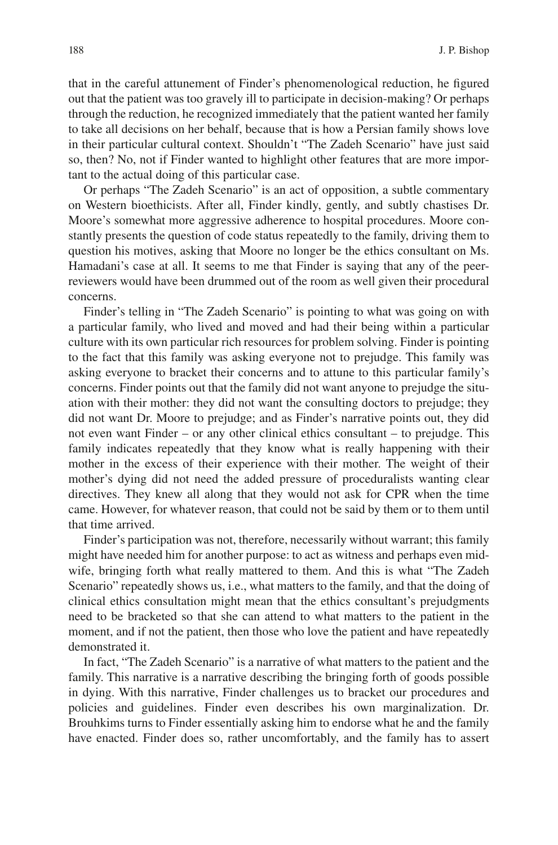that in the careful attunement of Finder's phenomenological reduction, he figured out that the patient was too gravely ill to participate in decision-making? Or perhaps through the reduction, he recognized immediately that the patient wanted her family to take all decisions on her behalf, because that is how a Persian family shows love in their particular cultural context. Shouldn't "The Zadeh Scenario" have just said so, then? No, not if Finder wanted to highlight other features that are more important to the actual doing of this particular case.

Or perhaps "The Zadeh Scenario" is an act of opposition, a subtle commentary on Western bioethicists. After all, Finder kindly, gently, and subtly chastises Dr. Moore's somewhat more aggressive adherence to hospital procedures. Moore constantly presents the question of code status repeatedly to the family, driving them to question his motives, asking that Moore no longer be the ethics consultant on Ms. Hamadani's case at all. It seems to me that Finder is saying that any of the peerreviewers would have been drummed out of the room as well given their procedural concerns.

Finder's telling in "The Zadeh Scenario" is pointing to what was going on with a particular family, who lived and moved and had their being within a particular culture with its own particular rich resources for problem solving. Finder is pointing to the fact that this family was asking everyone not to prejudge. This family was asking everyone to bracket their concerns and to attune to this particular family's concerns. Finder points out that the family did not want anyone to prejudge the situation with their mother: they did not want the consulting doctors to prejudge; they did not want Dr. Moore to prejudge; and as Finder's narrative points out, they did not even want Finder – or any other clinical ethics consultant – to prejudge. This family indicates repeatedly that they know what is really happening with their mother in the excess of their experience with their mother. The weight of their mother's dying did not need the added pressure of proceduralists wanting clear directives. They knew all along that they would not ask for CPR when the time came. However, for whatever reason, that could not be said by them or to them until that time arrived.

Finder's participation was not, therefore, necessarily without warrant; this family might have needed him for another purpose: to act as witness and perhaps even midwife, bringing forth what really mattered to them. And this is what "The Zadeh Scenario" repeatedly shows us, i.e., what matters to the family, and that the doing of clinical ethics consultation might mean that the ethics consultant's prejudgments need to be bracketed so that she can attend to what matters to the patient in the moment, and if not the patient, then those who love the patient and have repeatedly demonstrated it.

In fact, "The Zadeh Scenario" is a narrative of what matters to the patient and the family. This narrative is a narrative describing the bringing forth of goods possible in dying. With this narrative, Finder challenges us to bracket our procedures and policies and guidelines. Finder even describes his own marginalization. Dr. Brouhkims turns to Finder essentially asking him to endorse what he and the family have enacted. Finder does so, rather uncomfortably, and the family has to assert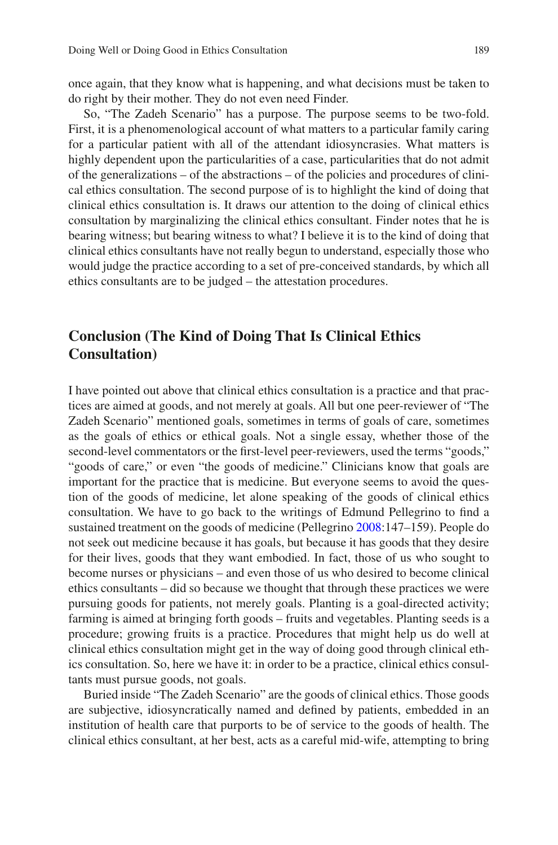once again, that they know what is happening, and what decisions must be taken to do right by their mother. They do not even need Finder.

So, "The Zadeh Scenario" has a purpose. The purpose seems to be two-fold. First, it is a phenomenological account of what matters to a particular family caring for a particular patient with all of the attendant idiosyncrasies. What matters is highly dependent upon the particularities of a case, particularities that do not admit of the generalizations – of the abstractions – of the policies and procedures of clinical ethics consultation. The second purpose of is to highlight the kind of doing that clinical ethics consultation is. It draws our attention to the doing of clinical ethics consultation by marginalizing the clinical ethics consultant. Finder notes that he is bearing witness; but bearing witness to what? I believe it is to the kind of doing that clinical ethics consultants have not really begun to understand, especially those who would judge the practice according to a set of pre-conceived standards, by which all ethics consultants are to be judged – the attestation procedures.

## **Conclusion (The Kind of Doing That Is Clinical Ethics Consultation)**

I have pointed out above that clinical ethics consultation is a practice and that practices are aimed at goods, and not merely at goals. All but one peer-reviewer of "The Zadeh Scenario" mentioned goals, sometimes in terms of goals of care, sometimes as the goals of ethics or ethical goals. Not a single essay, whether those of the second-level commentators or the first-level peer-reviewers, used the terms "goods," "goods of care," or even "the goods of medicine." Clinicians know that goals are important for the practice that is medicine. But everyone seems to avoid the question of the goods of medicine, let alone speaking of the goods of clinical ethics consultation. We have to go back to the writings of Edmund Pellegrino to find a sustained treatment on the goods of medicine (Pellegrino [2008:](#page-13-11)147–159). People do not seek out medicine because it has goals, but because it has goods that they desire for their lives, goods that they want embodied. In fact, those of us who sought to become nurses or physicians – and even those of us who desired to become clinical ethics consultants – did so because we thought that through these practices we were pursuing goods for patients, not merely goals. Planting is a goal-directed activity; farming is aimed at bringing forth goods – fruits and vegetables. Planting seeds is a procedure; growing fruits is a practice. Procedures that might help us do well at clinical ethics consultation might get in the way of doing good through clinical ethics consultation. So, here we have it: in order to be a practice, clinical ethics consultants must pursue goods, not goals.

Buried inside "The Zadeh Scenario" are the goods of clinical ethics. Those goods are subjective, idiosyncratically named and defined by patients, embedded in an institution of health care that purports to be of service to the goods of health. The clinical ethics consultant, at her best, acts as a careful mid-wife, attempting to bring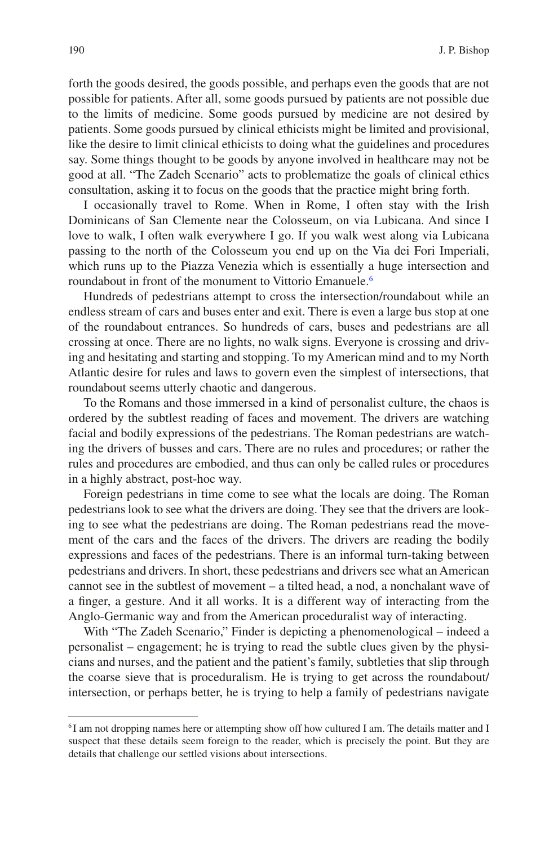forth the goods desired, the goods possible, and perhaps even the goods that are not possible for patients. After all, some goods pursued by patients are not possible due to the limits of medicine. Some goods pursued by medicine are not desired by patients. Some goods pursued by clinical ethicists might be limited and provisional, like the desire to limit clinical ethicists to doing what the guidelines and procedures say. Some things thought to be goods by anyone involved in healthcare may not be good at all. "The Zadeh Scenario" acts to problematize the goals of clinical ethics consultation, asking it to focus on the goods that the practice might bring forth.

I occasionally travel to Rome. When in Rome, I often stay with the Irish Dominicans of San Clemente near the Colosseum, on via Lubicana. And since I love to walk, I often walk everywhere I go. If you walk west along via Lubicana passing to the north of the Colosseum you end up on the Via dei Fori Imperiali, which runs up to the Piazza Venezia which is essentially a huge intersection and roundabout in front of the monument to Vittorio Emanuele.<sup>[6](#page-11-0)</sup>

Hundreds of pedestrians attempt to cross the intersection/roundabout while an endless stream of cars and buses enter and exit. There is even a large bus stop at one of the roundabout entrances. So hundreds of cars, buses and pedestrians are all crossing at once. There are no lights, no walk signs. Everyone is crossing and driving and hesitating and starting and stopping. To my American mind and to my North Atlantic desire for rules and laws to govern even the simplest of intersections, that roundabout seems utterly chaotic and dangerous.

To the Romans and those immersed in a kind of personalist culture, the chaos is ordered by the subtlest reading of faces and movement. The drivers are watching facial and bodily expressions of the pedestrians. The Roman pedestrians are watching the drivers of busses and cars. There are no rules and procedures; or rather the rules and procedures are embodied, and thus can only be called rules or procedures in a highly abstract, post-hoc way.

Foreign pedestrians in time come to see what the locals are doing. The Roman pedestrians look to see what the drivers are doing. They see that the drivers are looking to see what the pedestrians are doing. The Roman pedestrians read the movement of the cars and the faces of the drivers. The drivers are reading the bodily expressions and faces of the pedestrians. There is an informal turn-taking between pedestrians and drivers. In short, these pedestrians and drivers see what an American cannot see in the subtlest of movement – a tilted head, a nod, a nonchalant wave of a finger, a gesture. And it all works. It is a different way of interacting from the Anglo-Germanic way and from the American proceduralist way of interacting.

With "The Zadeh Scenario," Finder is depicting a phenomenological – indeed a personalist – engagement; he is trying to read the subtle clues given by the physicians and nurses, and the patient and the patient's family, subtleties that slip through the coarse sieve that is proceduralism. He is trying to get across the roundabout/ intersection, or perhaps better, he is trying to help a family of pedestrians navigate

<span id="page-11-0"></span><sup>6</sup> I am not dropping names here or attempting show off how cultured I am. The details matter and I suspect that these details seem foreign to the reader, which is precisely the point. But they are details that challenge our settled visions about intersections.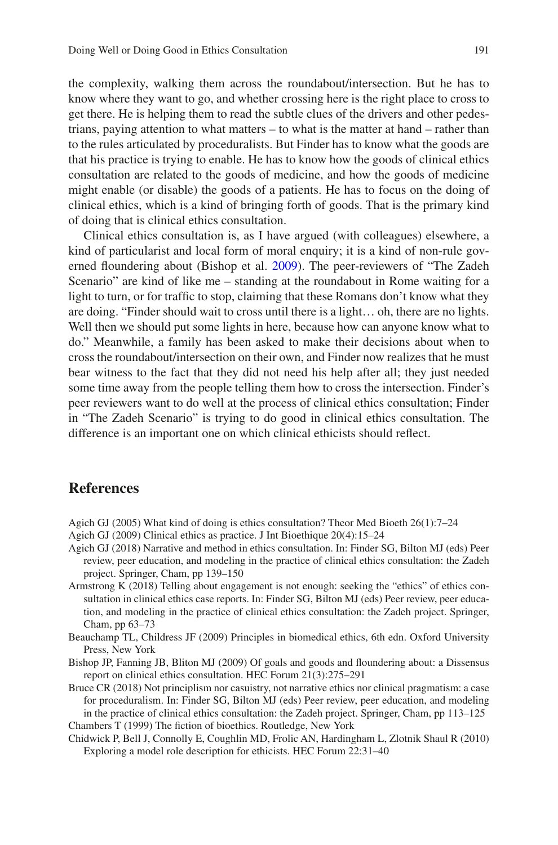the complexity, walking them across the roundabout/intersection. But he has to know where they want to go, and whether crossing here is the right place to cross to get there. He is helping them to read the subtle clues of the drivers and other pedestrians, paying attention to what matters – to what is the matter at hand – rather than to the rules articulated by proceduralists. But Finder has to know what the goods are that his practice is trying to enable. He has to know how the goods of clinical ethics consultation are related to the goods of medicine, and how the goods of medicine might enable (or disable) the goods of a patients. He has to focus on the doing of clinical ethics, which is a kind of bringing forth of goods. That is the primary kind of doing that is clinical ethics consultation.

Clinical ethics consultation is, as I have argued (with colleagues) elsewhere, a kind of particularist and local form of moral enquiry; it is a kind of non-rule governed floundering about (Bishop et al. [2009](#page-12-8)). The peer-reviewers of "The Zadeh Scenario" are kind of like me – standing at the roundabout in Rome waiting for a light to turn, or for traffic to stop, claiming that these Romans don't know what they are doing. "Finder should wait to cross until there is a light… oh, there are no lights. Well then we should put some lights in here, because how can anyone know what to do." Meanwhile, a family has been asked to make their decisions about when to cross the roundabout/intersection on their own, and Finder now realizes that he must bear witness to the fact that they did not need his help after all; they just needed some time away from the people telling them how to cross the intersection. Finder's peer reviewers want to do well at the process of clinical ethics consultation; Finder in "The Zadeh Scenario" is trying to do good in clinical ethics consultation. The difference is an important one on which clinical ethicists should reflect.

### **References**

- <span id="page-12-2"></span>Agich GJ (2005) What kind of doing is ethics consultation? Theor Med Bioeth 26(1):7–24
- <span id="page-12-3"></span>Agich GJ (2009) Clinical ethics as practice. J Int Bioethique 20(4):15–24
- <span id="page-12-4"></span>Agich GJ (2018) Narrative and method in ethics consultation. In: Finder SG, Bilton MJ (eds) Peer review, peer education, and modeling in the practice of clinical ethics consultation: the Zadeh project. Springer, Cham, pp 139–150
- <span id="page-12-7"></span>Armstrong K (2018) Telling about engagement is not enough: seeking the "ethics" of ethics consultation in clinical ethics case reports. In: Finder SG, Bilton MJ (eds) Peer review, peer education, and modeling in the practice of clinical ethics consultation: the Zadeh project. Springer, Cham, pp 63–73
- <span id="page-12-1"></span>Beauchamp TL, Childress JF (2009) Principles in biomedical ethics, 6th edn. Oxford University Press, New York
- <span id="page-12-8"></span>Bishop JP, Fanning JB, Bliton MJ (2009) Of goals and goods and floundering about: a Dissensus report on clinical ethics consultation. HEC Forum 21(3):275–291
- <span id="page-12-6"></span>Bruce CR (2018) Not principlism nor casuistry, not narrative ethics nor clinical pragmatism: a case for proceduralism. In: Finder SG, Bilton MJ (eds) Peer review, peer education, and modeling in the practice of clinical ethics consultation: the Zadeh project. Springer, Cham, pp 113–125 Chambers T (1999) The fiction of bioethics. Routledge, New York
- <span id="page-12-5"></span><span id="page-12-0"></span>Chidwick P, Bell J, Connolly E, Coughlin MD, Frolic AN, Hardingham L, Zlotnik Shaul R (2010) Exploring a model role description for ethicists. HEC Forum 22:31–40